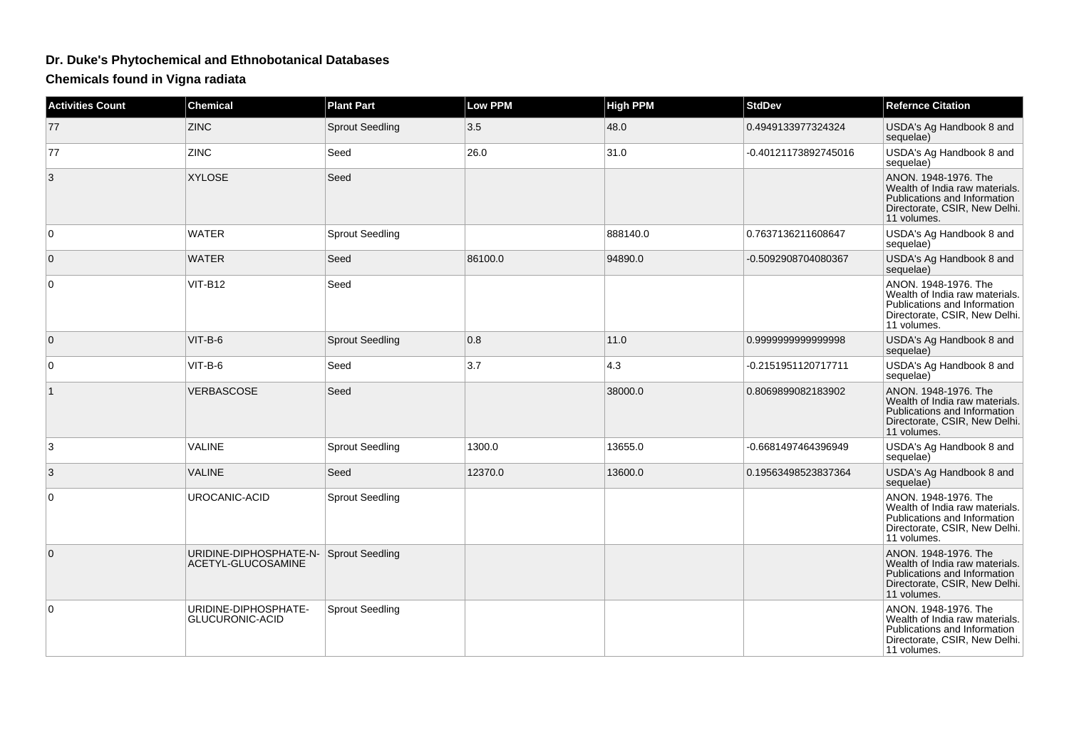## **Dr. Duke's Phytochemical and Ethnobotanical Databases**

**Chemicals found in Vigna radiata**

| <b>Activities Count</b> | <b>Chemical</b>                                              | <b>Plant Part</b>      | <b>Low PPM</b> | <b>High PPM</b> | <b>StdDev</b>        | <b>Refernce Citation</b>                                                                                                               |
|-------------------------|--------------------------------------------------------------|------------------------|----------------|-----------------|----------------------|----------------------------------------------------------------------------------------------------------------------------------------|
| 77                      | <b>ZINC</b>                                                  | <b>Sprout Seedling</b> | 3.5            | 48.0            | 0.4949133977324324   | USDA's Ag Handbook 8 and<br>sequelae)                                                                                                  |
| 77                      | ZINC                                                         | Seed                   | 26.0           | 31.0            | -0.40121173892745016 | USDA's Ag Handbook 8 and<br>sequelae)                                                                                                  |
| 3                       | <b>XYLOSE</b>                                                | Seed                   |                |                 |                      | ANON. 1948-1976. The<br>Wealth of India raw materials.<br>Publications and Information<br>Directorate, CSIR, New Delhi.<br>11 volumes. |
| $\mathbf 0$             | <b>WATER</b>                                                 | <b>Sprout Seedling</b> |                | 888140.0        | 0.7637136211608647   | USDA's Ag Handbook 8 and<br>sequelae)                                                                                                  |
| $\mathbf 0$             | <b>WATER</b>                                                 | Seed                   | 86100.0        | 94890.0         | -0.5092908704080367  | USDA's Ag Handbook 8 and<br>sequelae)                                                                                                  |
| 0                       | VIT-B12                                                      | Seed                   |                |                 |                      | ANON. 1948-1976. The<br>Wealth of India raw materials.<br>Publications and Information<br>Directorate, CSIR, New Delhi.<br>11 volumes. |
| $\mathbf 0$             | $VIT-B-6$                                                    | <b>Sprout Seedling</b> | 0.8            | 11.0            | 0.9999999999999998   | USDA's Ag Handbook 8 and<br>sequelae)                                                                                                  |
| 0                       | $VIT-B-6$                                                    | Seed                   | 3.7            | 4.3             | -0.2151951120717711  | USDA's Ag Handbook 8 and<br>sequelae)                                                                                                  |
| $\mathbf{1}$            | VERBASCOSE                                                   | Seed                   |                | 38000.0         | 0.8069899082183902   | ANON. 1948-1976. The<br>Wealth of India raw materials.<br>Publications and Information<br>Directorate, CSIR, New Delhi.<br>11 volumes. |
| 3                       | <b>VALINE</b>                                                | <b>Sprout Seedling</b> | 1300.0         | 13655.0         | -0.6681497464396949  | USDA's Ag Handbook 8 and<br>sequelae)                                                                                                  |
| 3                       | <b>VALINE</b>                                                | Seed                   | 12370.0        | 13600.0         | 0.19563498523837364  | USDA's Ag Handbook 8 and<br>sequelae)                                                                                                  |
| $\Omega$                | UROCANIC-ACID                                                | <b>Sprout Seedling</b> |                |                 |                      | ANON, 1948-1976. The<br>Wealth of India raw materials.<br>Publications and Information<br>Directorate, CSIR, New Delhi.<br>11 volumes. |
| $\mathbf 0$             | URIDINE-DIPHOSPHATE-N- Sprout Seedling<br>ACETYL-GLUCOSAMINE |                        |                |                 |                      | ANON. 1948-1976. The<br>Wealth of India raw materials.<br>Publications and Information<br>Directorate, CSIR, New Delhi.<br>11 volumes. |
| 0                       | URIDINE-DIPHOSPHATE-<br>GLUCURONIC-ACID                      | <b>Sprout Seedling</b> |                |                 |                      | ANON. 1948-1976. The<br>Wealth of India raw materials.<br>Publications and Information<br>Directorate, CSIR, New Delhi.<br>11 volumes. |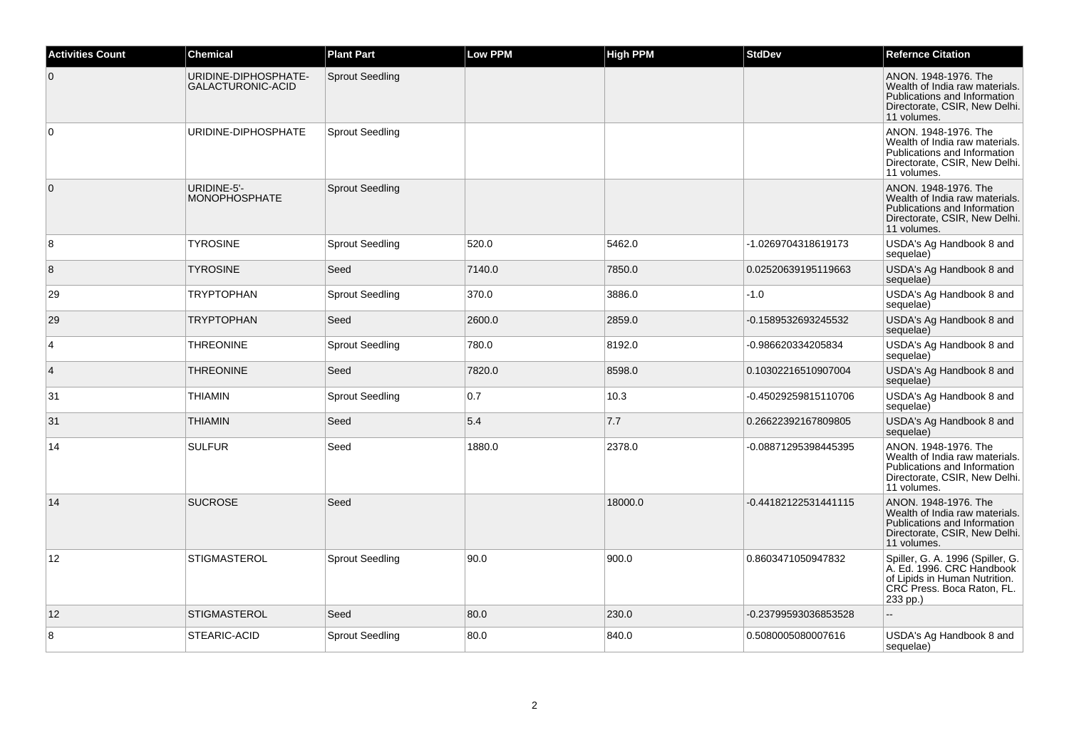| <b>Activities Count</b> | <b>Chemical</b>                                  | <b>Plant Part</b>      | <b>Low PPM</b> | <b>High PPM</b> | <b>StdDev</b>        | <b>Refernce Citation</b>                                                                                                                 |
|-------------------------|--------------------------------------------------|------------------------|----------------|-----------------|----------------------|------------------------------------------------------------------------------------------------------------------------------------------|
| $\overline{0}$          | URIDINE-DIPHOSPHATE-<br><b>GALACTURONIC-ACID</b> | <b>Sprout Seedling</b> |                |                 |                      | ANON. 1948-1976. The<br>Wealth of India raw materials.<br>Publications and Information<br>Directorate, CSIR, New Delhi.<br>11 volumes.   |
| $\overline{0}$          | URIDINE-DIPHOSPHATE                              | <b>Sprout Seedling</b> |                |                 |                      | ANON. 1948-1976. The<br>Wealth of India raw materials.<br>Publications and Information<br>Directorate, CSIR, New Delhi.<br>11 volumes.   |
| $\overline{0}$          | URIDINE-5'-<br><b>MONOPHOSPHATE</b>              | <b>Sprout Seedling</b> |                |                 |                      | ANON, 1948-1976. The<br>Wealth of India raw materials.<br>Publications and Information<br>Directorate, CSIR, New Delhi.<br>11 volumes.   |
| 8                       | <b>TYROSINE</b>                                  | <b>Sprout Seedling</b> | 520.0          | 5462.0          | -1.0269704318619173  | USDA's Ag Handbook 8 and<br>sequelae)                                                                                                    |
| $\boldsymbol{8}$        | <b>TYROSINE</b>                                  | Seed                   | 7140.0         | 7850.0          | 0.02520639195119663  | USDA's Ag Handbook 8 and<br>sequelae)                                                                                                    |
| 29                      | <b>TRYPTOPHAN</b>                                | <b>Sprout Seedling</b> | 370.0          | 3886.0          | $-1.0$               | USDA's Ag Handbook 8 and<br>sequelae)                                                                                                    |
| 29                      | <b>TRYPTOPHAN</b>                                | Seed                   | 2600.0         | 2859.0          | -0.1589532693245532  | USDA's Ag Handbook 8 and<br>sequelae)                                                                                                    |
| $\overline{4}$          | <b>THREONINE</b>                                 | <b>Sprout Seedling</b> | 780.0          | 8192.0          | -0.986620334205834   | USDA's Ag Handbook 8 and<br>sequelae)                                                                                                    |
| $\overline{4}$          | <b>THREONINE</b>                                 | Seed                   | 7820.0         | 8598.0          | 0.10302216510907004  | USDA's Ag Handbook 8 and<br>sequelae)                                                                                                    |
| 31                      | <b>THIAMIN</b>                                   | <b>Sprout Seedling</b> | 0.7            | 10.3            | -0.45029259815110706 | USDA's Ag Handbook 8 and<br>sequelae)                                                                                                    |
| 31                      | <b>THIAMIN</b>                                   | Seed                   | 5.4            | 7.7             | 0.26622392167809805  | USDA's Ag Handbook 8 and<br>sequelae)                                                                                                    |
| 14                      | <b>SULFUR</b>                                    | Seed                   | 1880.0         | 2378.0          | -0.08871295398445395 | ANON. 1948-1976. The<br>Wealth of India raw materials.<br>Publications and Information<br>Directorate, CSIR, New Delhi.<br>11 volumes.   |
| 14                      | <b>SUCROSE</b>                                   | Seed                   |                | 18000.0         | -0.44182122531441115 | ANON. 1948-1976. The<br>Wealth of India raw materials.<br>Publications and Information<br>Directorate, CSIR, New Delhi.<br>11 volumes.   |
| 12                      | <b>STIGMASTEROL</b>                              | <b>Sprout Seedling</b> | 90.0           | 900.0           | 0.8603471050947832   | Spiller, G. A. 1996 (Spiller, G.<br>A. Ed. 1996. CRC Handbook<br>of Lipids in Human Nutrition.<br>CRC Press. Boca Raton, FL.<br>233 pp.) |
| 12                      | <b>STIGMASTEROL</b>                              | Seed                   | 80.0           | 230.0           | -0.23799593036853528 | $\sim$                                                                                                                                   |
| 8                       | STEARIC-ACID                                     | <b>Sprout Seedling</b> | 80.0           | 840.0           | 0.5080005080007616   | USDA's Ag Handbook 8 and<br>sequelae)                                                                                                    |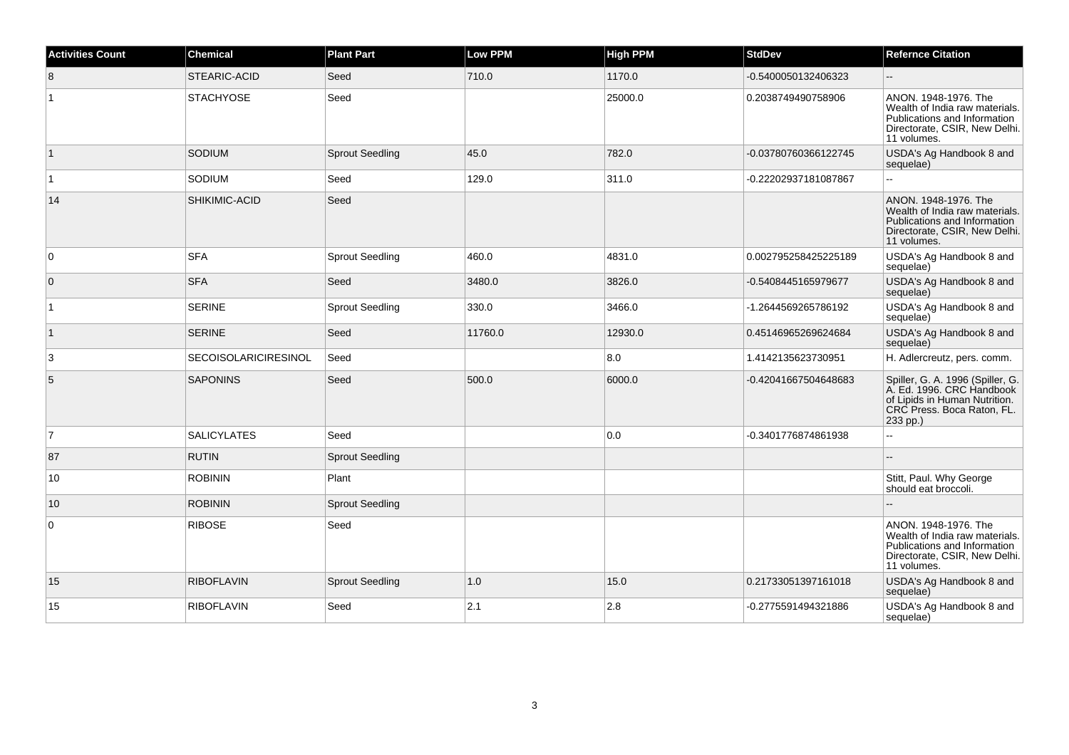| <b>Activities Count</b> | <b>Chemical</b>             | <b>Plant Part</b>      | <b>Low PPM</b> | <b>High PPM</b> | <b>StdDev</b>        | <b>Refernce Citation</b>                                                                                                                 |
|-------------------------|-----------------------------|------------------------|----------------|-----------------|----------------------|------------------------------------------------------------------------------------------------------------------------------------------|
| 8                       | STEARIC-ACID                | Seed                   | 710.0          | 1170.0          | -0.5400050132406323  |                                                                                                                                          |
| ∣1                      | <b>STACHYOSE</b>            | Seed                   |                | 25000.0         | 0.2038749490758906   | ANON. 1948-1976. The<br>Wealth of India raw materials.<br>Publications and Information<br>Directorate, CSIR, New Delhi.<br>11 volumes.   |
| $\vert$ 1               | SODIUM                      | <b>Sprout Seedling</b> | 45.0           | 782.0           | -0.03780760366122745 | USDA's Ag Handbook 8 and<br>sequelae)                                                                                                    |
| ∣1                      | SODIUM                      | Seed                   | 129.0          | 311.0           | -0.22202937181087867 | Ц.                                                                                                                                       |
| 14                      | SHIKIMIC-ACID               | Seed                   |                |                 |                      | ANON. 1948-1976. The<br>Wealth of India raw materials.<br>Publications and Information<br>Directorate, CSIR, New Delhi.<br>11 volumes.   |
| $\mathbf 0$             | <b>SFA</b>                  | <b>Sprout Seedling</b> | 460.0          | 4831.0          | 0.002795258425225189 | USDA's Ag Handbook 8 and<br>sequelae)                                                                                                    |
| $\mathbf 0$             | <b>SFA</b>                  | Seed                   | 3480.0         | 3826.0          | -0.5408445165979677  | USDA's Ag Handbook 8 and<br>sequelae)                                                                                                    |
| ∣1                      | <b>SERINE</b>               | <b>Sprout Seedling</b> | 330.0          | 3466.0          | -1.2644569265786192  | USDA's Ag Handbook 8 and<br>sequelae)                                                                                                    |
| $\mathbf{1}$            | <b>SERINE</b>               | Seed                   | 11760.0        | 12930.0         | 0.45146965269624684  | USDA's Ag Handbook 8 and<br>sequelae)                                                                                                    |
| 3                       | <b>SECOISOLARICIRESINOL</b> | Seed                   |                | 8.0             | 1.4142135623730951   | H. Adlercreutz, pers. comm.                                                                                                              |
| 5                       | <b>SAPONINS</b>             | Seed                   | 500.0          | 6000.0          | -0.42041667504648683 | Spiller, G. A. 1996 (Spiller, G.<br>A. Ed. 1996. CRC Handbook<br>of Lipids in Human Nutrition.<br>CRC Press. Boca Raton, FL.<br>233 pp.) |
| $\overline{7}$          | <b>SALICYLATES</b>          | Seed                   |                | 0.0             | -0.3401776874861938  |                                                                                                                                          |
| 87                      | <b>RUTIN</b>                | <b>Sprout Seedling</b> |                |                 |                      |                                                                                                                                          |
| 10                      | <b>ROBININ</b>              | Plant                  |                |                 |                      | Stitt, Paul. Why George<br>should eat broccoli.                                                                                          |
| 10                      | <b>ROBININ</b>              | <b>Sprout Seedling</b> |                |                 |                      |                                                                                                                                          |
| 0                       | <b>RIBOSE</b>               | Seed                   |                |                 |                      | ANON, 1948-1976. The<br>Wealth of India raw materials.<br>Publications and Information<br>Directorate, CSIR, New Delhi.<br>11 volumes.   |
| 15                      | <b>RIBOFLAVIN</b>           | <b>Sprout Seedling</b> | 1.0            | 15.0            | 0.21733051397161018  | USDA's Ag Handbook 8 and<br>sequelae)                                                                                                    |
| 15                      | <b>RIBOFLAVIN</b>           | Seed                   | 2.1            | 2.8             | -0.2775591494321886  | USDA's Ag Handbook 8 and<br>sequelae)                                                                                                    |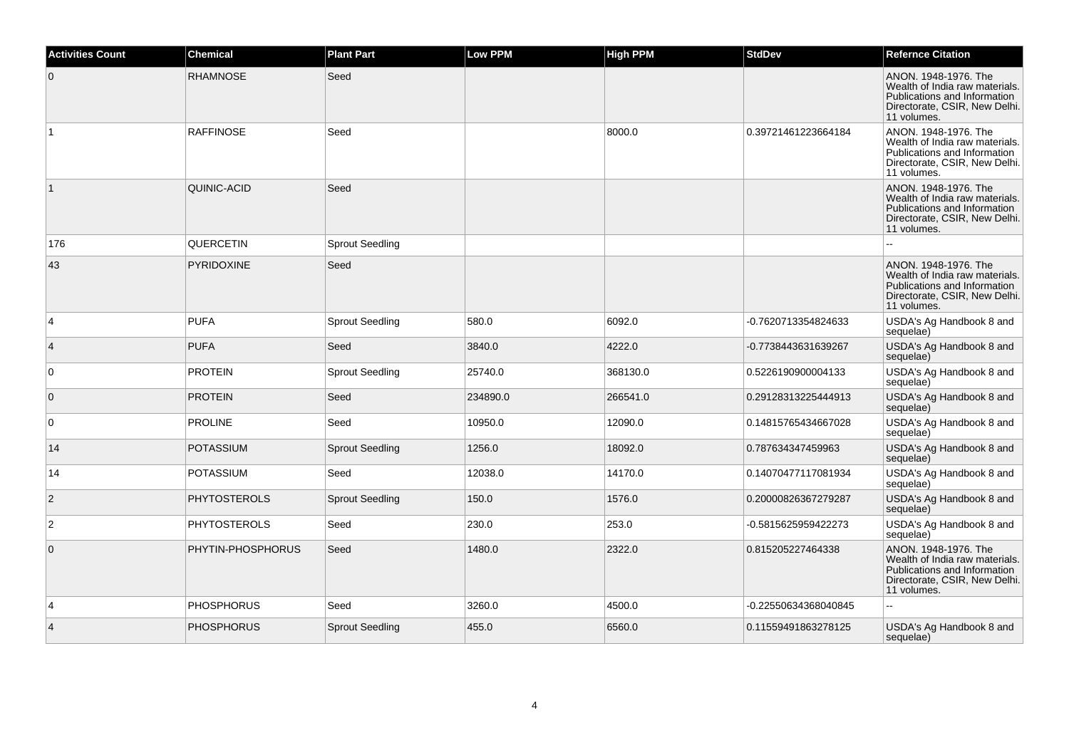| <b>Activities Count</b> | <b>Chemical</b>     | <b>Plant Part</b>      | <b>Low PPM</b> | <b>High PPM</b> | <b>StdDev</b>        | <b>Refernce Citation</b>                                                                                                               |
|-------------------------|---------------------|------------------------|----------------|-----------------|----------------------|----------------------------------------------------------------------------------------------------------------------------------------|
| $\mathbf 0$             | <b>RHAMNOSE</b>     | Seed                   |                |                 |                      | ANON. 1948-1976. The<br>Wealth of India raw materials.<br>Publications and Information<br>Directorate, CSIR, New Delhi.<br>11 volumes. |
| $\mathbf{1}$            | <b>RAFFINOSE</b>    | Seed                   |                | 8000.0          | 0.39721461223664184  | ANON. 1948-1976. The<br>Wealth of India raw materials.<br>Publications and Information<br>Directorate, CSIR, New Delhi.<br>11 volumes. |
| $\vert$ 1               | QUINIC-ACID         | Seed                   |                |                 |                      | ANON. 1948-1976. The<br>Wealth of India raw materials.<br>Publications and Information<br>Directorate, CSIR, New Delhi.<br>11 volumes. |
| 176                     | QUERCETIN           | <b>Sprout Seedling</b> |                |                 |                      |                                                                                                                                        |
| 43                      | <b>PYRIDOXINE</b>   | Seed                   |                |                 |                      | ANON. 1948-1976. The<br>Wealth of India raw materials.<br>Publications and Information<br>Directorate, CSIR, New Delhi.<br>11 volumes. |
| 4                       | <b>PUFA</b>         | <b>Sprout Seedling</b> | 580.0          | 6092.0          | -0.7620713354824633  | USDA's Ag Handbook 8 and<br>sequelae)                                                                                                  |
| $\overline{4}$          | <b>PUFA</b>         | Seed                   | 3840.0         | 4222.0          | -0.7738443631639267  | USDA's Ag Handbook 8 and<br>sequelae)                                                                                                  |
| 0                       | <b>PROTEIN</b>      | <b>Sprout Seedling</b> | 25740.0        | 368130.0        | 0.5226190900004133   | USDA's Ag Handbook 8 and<br>sequelae)                                                                                                  |
| $\overline{0}$          | <b>PROTEIN</b>      | Seed                   | 234890.0       | 266541.0        | 0.29128313225444913  | USDA's Ag Handbook 8 and<br>sequelae)                                                                                                  |
| $\mathbf 0$             | <b>PROLINE</b>      | Seed                   | 10950.0        | 12090.0         | 0.14815765434667028  | USDA's Ag Handbook 8 and<br>sequelae)                                                                                                  |
| 14                      | <b>POTASSIUM</b>    | <b>Sprout Seedling</b> | 1256.0         | 18092.0         | 0.787634347459963    | USDA's Ag Handbook 8 and<br>sequelae)                                                                                                  |
| 14                      | POTASSIUM           | Seed                   | 12038.0        | 14170.0         | 0.14070477117081934  | USDA's Ag Handbook 8 and<br>sequelae)                                                                                                  |
| $\overline{2}$          | <b>PHYTOSTEROLS</b> | <b>Sprout Seedling</b> | 150.0          | 1576.0          | 0.20000826367279287  | USDA's Ag Handbook 8 and<br>sequelae)                                                                                                  |
| $\overline{2}$          | <b>PHYTOSTEROLS</b> | Seed                   | 230.0          | 253.0           | -0.5815625959422273  | USDA's Ag Handbook 8 and<br>sequelae)                                                                                                  |
| $\mathbf 0$             | PHYTIN-PHOSPHORUS   | Seed                   | 1480.0         | 2322.0          | 0.815205227464338    | ANON. 1948-1976. The<br>Wealth of India raw materials.<br>Publications and Information<br>Directorate, CSIR, New Delhi.<br>11 volumes. |
| 4                       | <b>PHOSPHORUS</b>   | Seed                   | 3260.0         | 4500.0          | -0.22550634368040845 | $\overline{a}$                                                                                                                         |
| $\overline{4}$          | <b>PHOSPHORUS</b>   | <b>Sprout Seedling</b> | 455.0          | 6560.0          | 0.11559491863278125  | USDA's Ag Handbook 8 and<br>sequelae)                                                                                                  |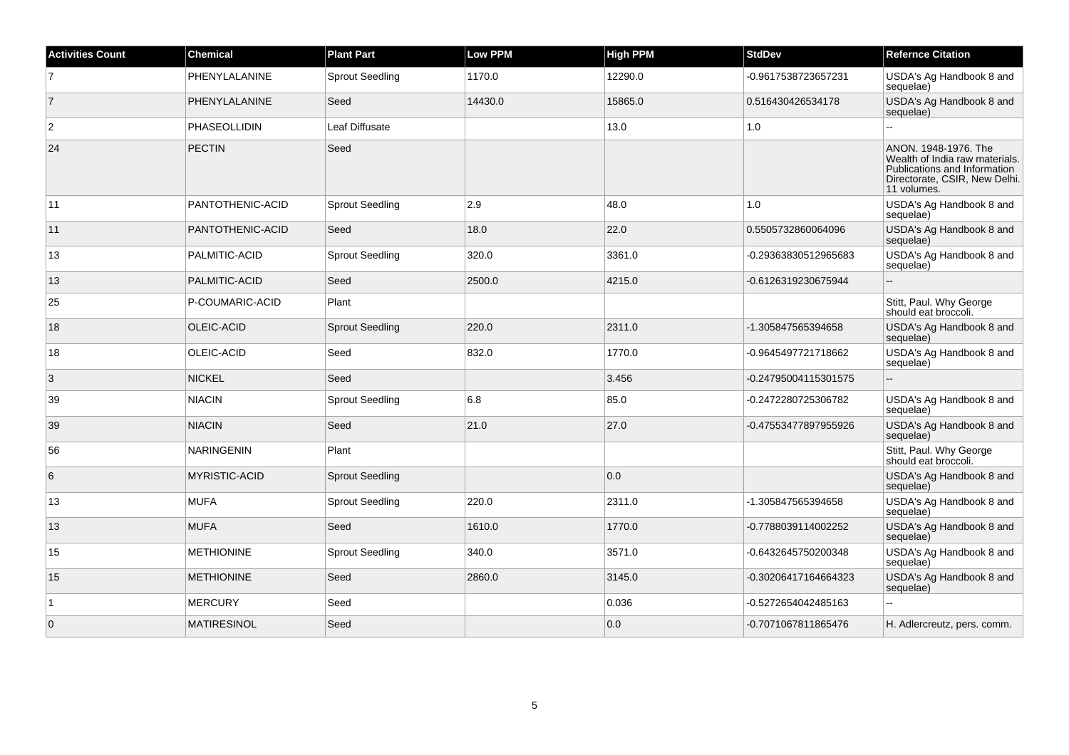| <b>Activities Count</b> | <b>Chemical</b>    | <b>Plant Part</b>      | <b>Low PPM</b> | <b>High PPM</b> | <b>StdDev</b>        | <b>Refernce Citation</b>                                                                                                               |
|-------------------------|--------------------|------------------------|----------------|-----------------|----------------------|----------------------------------------------------------------------------------------------------------------------------------------|
| 7                       | PHENYLALANINE      | <b>Sprout Seedling</b> | 1170.0         | 12290.0         | -0.9617538723657231  | USDA's Ag Handbook 8 and<br>sequelae)                                                                                                  |
| $\vert$ 7               | PHENYLALANINE      | Seed                   | 14430.0        | 15865.0         | 0.516430426534178    | USDA's Ag Handbook 8 and<br>sequelae)                                                                                                  |
| $\overline{2}$          | PHASEOLLIDIN       | <b>Leaf Diffusate</b>  |                | 13.0            | 1.0                  |                                                                                                                                        |
| 24                      | <b>PECTIN</b>      | Seed                   |                |                 |                      | ANON. 1948-1976. The<br>Wealth of India raw materials.<br>Publications and Information<br>Directorate, CSIR, New Delhi.<br>11 volumes. |
| 11                      | PANTOTHENIC-ACID   | <b>Sprout Seedling</b> | 2.9            | 48.0            | 1.0                  | USDA's Ag Handbook 8 and<br>sequelae)                                                                                                  |
| 11                      | PANTOTHENIC-ACID   | Seed                   | 18.0           | 22.0            | 0.5505732860064096   | USDA's Ag Handbook 8 and<br>sequelae)                                                                                                  |
| 13                      | PALMITIC-ACID      | <b>Sprout Seedling</b> | 320.0          | 3361.0          | -0.29363830512965683 | USDA's Ag Handbook 8 and<br>sequelae)                                                                                                  |
| 13                      | PALMITIC-ACID      | Seed                   | 2500.0         | 4215.0          | -0.6126319230675944  |                                                                                                                                        |
| 25                      | P-COUMARIC-ACID    | Plant                  |                |                 |                      | Stitt, Paul. Why George<br>should eat broccoli.                                                                                        |
| 18                      | <b>OLEIC-ACID</b>  | <b>Sprout Seedling</b> | 220.0          | 2311.0          | -1.305847565394658   | USDA's Ag Handbook 8 and<br>sequelae)                                                                                                  |
| 18                      | OLEIC-ACID         | Seed                   | 832.0          | 1770.0          | -0.9645497721718662  | USDA's Ag Handbook 8 and<br>sequelae)                                                                                                  |
| 3                       | <b>NICKEL</b>      | Seed                   |                | 3.456           | -0.24795004115301575 | $\overline{\phantom{a}}$                                                                                                               |
| 39                      | <b>NIACIN</b>      | <b>Sprout Seedling</b> | 6.8            | 85.0            | -0.2472280725306782  | USDA's Ag Handbook 8 and<br>sequelae)                                                                                                  |
| 39                      | <b>NIACIN</b>      | Seed                   | 21.0           | 27.0            | -0.47553477897955926 | USDA's Ag Handbook 8 and<br>sequelae)                                                                                                  |
| 56                      | <b>NARINGENIN</b>  | Plant                  |                |                 |                      | Stitt, Paul. Why George<br>should eat broccoli.                                                                                        |
| 6                       | MYRISTIC-ACID      | <b>Sprout Seedling</b> |                | 0.0             |                      | USDA's Ag Handbook 8 and<br>sequelae)                                                                                                  |
| 13                      | <b>MUFA</b>        | <b>Sprout Seedling</b> | 220.0          | 2311.0          | -1.305847565394658   | USDA's Ag Handbook 8 and<br>sequelae)                                                                                                  |
| 13                      | <b>MUFA</b>        | Seed                   | 1610.0         | 1770.0          | -0.7788039114002252  | USDA's Ag Handbook 8 and<br>sequelae)                                                                                                  |
| 15                      | <b>METHIONINE</b>  | <b>Sprout Seedling</b> | 340.0          | 3571.0          | -0.6432645750200348  | USDA's Ag Handbook 8 and<br>sequelae)                                                                                                  |
| 15                      | <b>METHIONINE</b>  | Seed                   | 2860.0         | 3145.0          | -0.30206417164664323 | USDA's Ag Handbook 8 and<br>sequelae)                                                                                                  |
| $\vert$ 1               | <b>MERCURY</b>     | Seed                   |                | 0.036           | -0.5272654042485163  | $\ddot{\phantom{a}}$                                                                                                                   |
| $\overline{0}$          | <b>MATIRESINOL</b> | Seed                   |                | 0.0             | -0.7071067811865476  | H. Adlercreutz, pers. comm.                                                                                                            |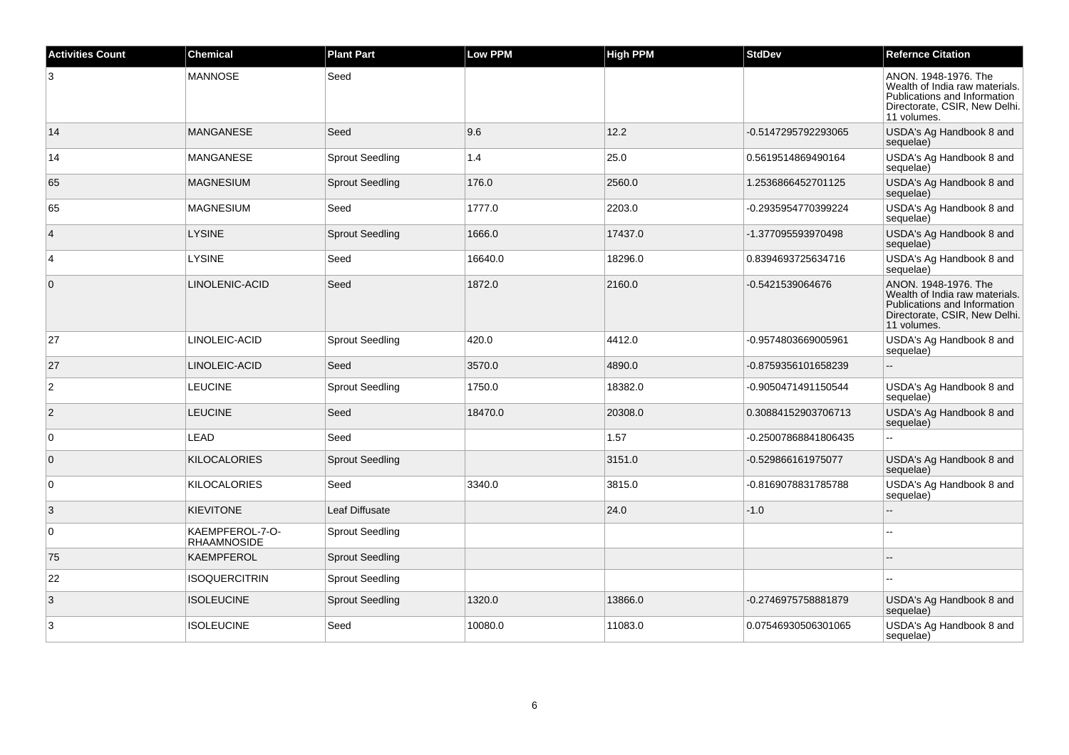| <b>Activities Count</b> | <b>Chemical</b>                       | <b>Plant Part</b>      | <b>Low PPM</b> | <b>High PPM</b> | <b>StdDev</b>        | <b>Refernce Citation</b>                                                                                                               |
|-------------------------|---------------------------------------|------------------------|----------------|-----------------|----------------------|----------------------------------------------------------------------------------------------------------------------------------------|
| 3                       | <b>MANNOSE</b>                        | Seed                   |                |                 |                      | ANON. 1948-1976. The<br>Wealth of India raw materials.<br>Publications and Information<br>Directorate, CSIR, New Delhi.<br>11 volumes. |
| 14                      | <b>MANGANESE</b>                      | Seed                   | 9.6            | 12.2            | -0.5147295792293065  | USDA's Ag Handbook 8 and<br>sequelae)                                                                                                  |
| 14                      | <b>MANGANESE</b>                      | <b>Sprout Seedling</b> | 1.4            | 25.0            | 0.5619514869490164   | USDA's Ag Handbook 8 and<br>sequelae)                                                                                                  |
| 65                      | <b>MAGNESIUM</b>                      | <b>Sprout Seedling</b> | 176.0          | 2560.0          | 1.2536866452701125   | USDA's Ag Handbook 8 and<br>sequelae)                                                                                                  |
| 65                      | <b>MAGNESIUM</b>                      | Seed                   | 1777.0         | 2203.0          | -0.2935954770399224  | USDA's Ag Handbook 8 and<br>sequelae)                                                                                                  |
| $\overline{4}$          | <b>LYSINE</b>                         | <b>Sprout Seedling</b> | 1666.0         | 17437.0         | -1.377095593970498   | USDA's Ag Handbook 8 and<br>sequelae)                                                                                                  |
| $\overline{4}$          | <b>LYSINE</b>                         | Seed                   | 16640.0        | 18296.0         | 0.8394693725634716   | USDA's Ag Handbook 8 and<br>sequelae)                                                                                                  |
| $\mathbf 0$             | LINOLENIC-ACID                        | Seed                   | 1872.0         | 2160.0          | -0.5421539064676     | ANON. 1948-1976. The<br>Wealth of India raw materials.<br>Publications and Information<br>Directorate, CSIR, New Delhi.<br>11 volumes. |
| 27                      | LINOLEIC-ACID                         | <b>Sprout Seedling</b> | 420.0          | 4412.0          | -0.9574803669005961  | USDA's Ag Handbook 8 and<br>sequelae)                                                                                                  |
| 27                      | LINOLEIC-ACID                         | Seed                   | 3570.0         | 4890.0          | -0.8759356101658239  | $\sim$                                                                                                                                 |
| $\overline{2}$          | <b>LEUCINE</b>                        | <b>Sprout Seedling</b> | 1750.0         | 18382.0         | -0.9050471491150544  | USDA's Ag Handbook 8 and<br>sequelae)                                                                                                  |
| $\overline{2}$          | <b>LEUCINE</b>                        | Seed                   | 18470.0        | 20308.0         | 0.30884152903706713  | USDA's Ag Handbook 8 and<br>sequelae)                                                                                                  |
| 0                       | LEAD                                  | Seed                   |                | 1.57            | -0.25007868841806435 | $\overline{a}$                                                                                                                         |
| $\mathbf 0$             | <b>KILOCALORIES</b>                   | <b>Sprout Seedling</b> |                | 3151.0          | -0.529866161975077   | USDA's Ag Handbook 8 and<br>sequelae)                                                                                                  |
| 0                       | <b>KILOCALORIES</b>                   | Seed                   | 3340.0         | 3815.0          | -0.8169078831785788  | USDA's Ag Handbook 8 and<br>sequelae)                                                                                                  |
| 3                       | <b>KIEVITONE</b>                      | Leaf Diffusate         |                | 24.0            | $-1.0$               | $\sim$                                                                                                                                 |
| 0                       | KAEMPFEROL-7-O-<br><b>RHAAMNOSIDE</b> | <b>Sprout Seedling</b> |                |                 |                      |                                                                                                                                        |
| 75                      | <b>KAEMPFEROL</b>                     | <b>Sprout Seedling</b> |                |                 |                      | $\sim$                                                                                                                                 |
| 22                      | <b>ISOQUERCITRIN</b>                  | <b>Sprout Seedling</b> |                |                 |                      |                                                                                                                                        |
| 3                       | <b>ISOLEUCINE</b>                     | <b>Sprout Seedling</b> | 1320.0         | 13866.0         | -0.2746975758881879  | USDA's Ag Handbook 8 and<br>sequelae)                                                                                                  |
| 3                       | <b>ISOLEUCINE</b>                     | Seed                   | 10080.0        | 11083.0         | 0.07546930506301065  | USDA's Ag Handbook 8 and<br>sequelae)                                                                                                  |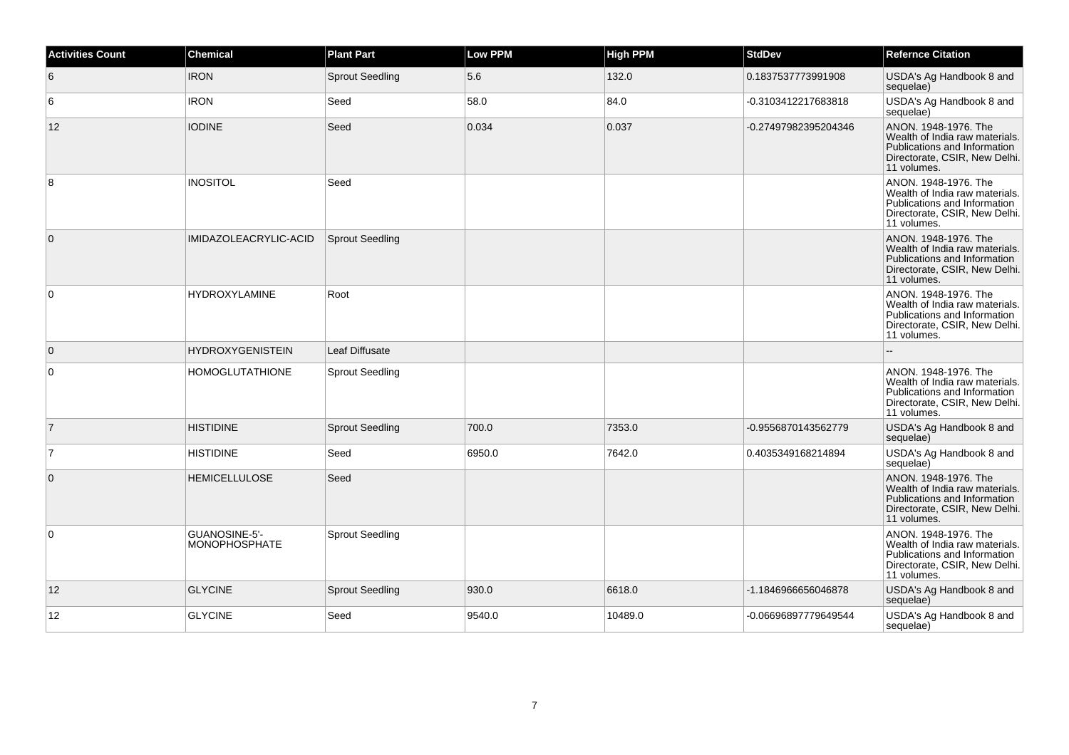| <b>Activities Count</b> | <b>Chemical</b>                       | <b>Plant Part</b>      | <b>Low PPM</b> | <b>High PPM</b> | <b>StdDev</b>        | <b>Refernce Citation</b>                                                                                                               |
|-------------------------|---------------------------------------|------------------------|----------------|-----------------|----------------------|----------------------------------------------------------------------------------------------------------------------------------------|
| 6                       | <b>IRON</b>                           | <b>Sprout Seedling</b> | 5.6            | 132.0           | 0.1837537773991908   | USDA's Ag Handbook 8 and<br>sequelae)                                                                                                  |
| 6                       | <b>IRON</b>                           | Seed                   | 58.0           | 84.0            | -0.3103412217683818  | USDA's Ag Handbook 8 and<br>sequelae)                                                                                                  |
| 12                      | <b>IODINE</b>                         | Seed                   | 0.034          | 0.037           | -0.27497982395204346 | ANON. 1948-1976. The<br>Wealth of India raw materials.<br>Publications and Information<br>Directorate, CSIR, New Delhi.<br>11 volumes. |
| 8                       | <b>INOSITOL</b>                       | Seed                   |                |                 |                      | ANON, 1948-1976. The<br>Wealth of India raw materials.<br>Publications and Information<br>Directorate, CSIR, New Delhi.<br>11 volumes. |
| $\overline{0}$          | IMIDAZOLEACRYLIC-ACID                 | <b>Sprout Seedling</b> |                |                 |                      | ANON, 1948-1976. The<br>Wealth of India raw materials.<br>Publications and Information<br>Directorate, CSIR, New Delhi.<br>11 volumes. |
| $\overline{0}$          | <b>HYDROXYLAMINE</b>                  | Root                   |                |                 |                      | ANON. 1948-1976. The<br>Wealth of India raw materials.<br>Publications and Information<br>Directorate, CSIR, New Delhi.<br>11 volumes. |
| $\overline{0}$          | <b>HYDROXYGENISTEIN</b>               | Leaf Diffusate         |                |                 |                      |                                                                                                                                        |
| $\overline{0}$          | <b>HOMOGLUTATHIONE</b>                | <b>Sprout Seedling</b> |                |                 |                      | ANON, 1948-1976. The<br>Wealth of India raw materials.<br>Publications and Information<br>Directorate, CSIR, New Delhi.<br>11 volumes. |
| $\overline{7}$          | <b>HISTIDINE</b>                      | <b>Sprout Seedling</b> | 700.0          | 7353.0          | -0.9556870143562779  | USDA's Ag Handbook 8 and<br>sequelae)                                                                                                  |
| $\overline{7}$          | <b>HISTIDINE</b>                      | Seed                   | 6950.0         | 7642.0          | 0.4035349168214894   | USDA's Ag Handbook 8 and<br>sequelae)                                                                                                  |
| $\overline{0}$          | <b>HEMICELLULOSE</b>                  | Seed                   |                |                 |                      | ANON, 1948-1976. The<br>Wealth of India raw materials.<br>Publications and Information<br>Directorate, CSIR, New Delhi.<br>11 volumes. |
| $\overline{0}$          | GUANOSINE-5'-<br><b>MONOPHOSPHATE</b> | <b>Sprout Seedling</b> |                |                 |                      | ANON. 1948-1976. The<br>Wealth of India raw materials.<br>Publications and Information<br>Directorate, CSIR, New Delhi.<br>11 volumes. |
| 12                      | <b>GLYCINE</b>                        | <b>Sprout Seedling</b> | 930.0          | 6618.0          | -1.1846966656046878  | USDA's Ag Handbook 8 and<br>sequelae)                                                                                                  |
| 12                      | <b>GLYCINE</b>                        | Seed                   | 9540.0         | 10489.0         | -0.06696897779649544 | USDA's Ag Handbook 8 and<br>sequelae)                                                                                                  |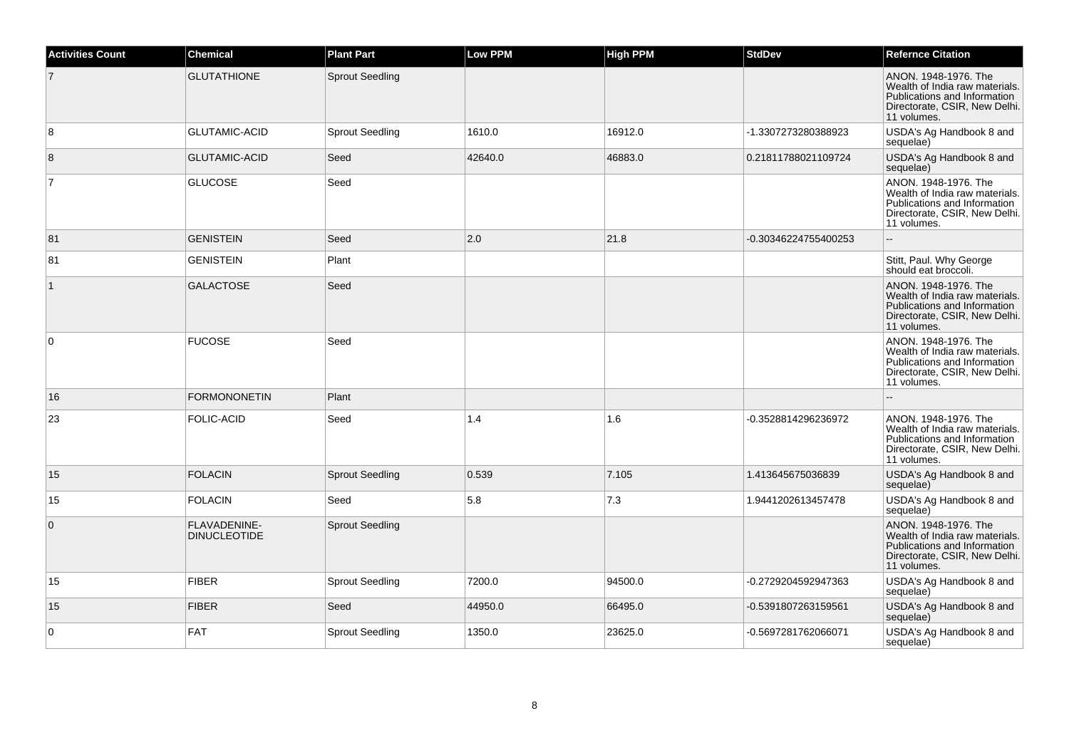| <b>Activities Count</b> | <b>Chemical</b>                     | <b>Plant Part</b>      | <b>Low PPM</b> | <b>High PPM</b> | <b>StdDev</b>        | <b>Refernce Citation</b>                                                                                                               |
|-------------------------|-------------------------------------|------------------------|----------------|-----------------|----------------------|----------------------------------------------------------------------------------------------------------------------------------------|
| $\overline{7}$          | <b>GLUTATHIONE</b>                  | <b>Sprout Seedling</b> |                |                 |                      | ANON. 1948-1976. The<br>Wealth of India raw materials.<br>Publications and Information<br>Directorate, CSIR, New Delhi.<br>11 volumes. |
| 8                       | <b>GLUTAMIC-ACID</b>                | <b>Sprout Seedling</b> | 1610.0         | 16912.0         | -1.3307273280388923  | USDA's Ag Handbook 8 and<br>sequelae)                                                                                                  |
| 8                       | <b>GLUTAMIC-ACID</b>                | Seed                   | 42640.0        | 46883.0         | 0.21811788021109724  | USDA's Ag Handbook 8 and<br>sequelae)                                                                                                  |
| $\overline{7}$          | <b>GLUCOSE</b>                      | Seed                   |                |                 |                      | ANON. 1948-1976. The<br>Wealth of India raw materials.<br>Publications and Information<br>Directorate, CSIR, New Delhi.<br>11 volumes. |
| 81                      | <b>GENISTEIN</b>                    | Seed                   | 2.0            | 21.8            | -0.30346224755400253 | $\sim$                                                                                                                                 |
| 81                      | <b>GENISTEIN</b>                    | Plant                  |                |                 |                      | Stitt, Paul. Why George<br>should eat broccoli.                                                                                        |
| $\mathbf{1}$            | <b>GALACTOSE</b>                    | Seed                   |                |                 |                      | ANON. 1948-1976. The<br>Wealth of India raw materials.<br>Publications and Information<br>Directorate, CSIR, New Delhi.<br>11 volumes. |
| 0                       | <b>FUCOSE</b>                       | Seed                   |                |                 |                      | ANON, 1948-1976. The<br>Wealth of India raw materials.<br>Publications and Information<br>Directorate, CSIR, New Delhi.<br>11 volumes. |
| 16                      | <b>FORMONONETIN</b>                 | Plant                  |                |                 |                      |                                                                                                                                        |
| 23                      | <b>FOLIC-ACID</b>                   | Seed                   | 1.4            | 1.6             | -0.3528814296236972  | ANON, 1948-1976. The<br>Wealth of India raw materials.<br>Publications and Information<br>Directorate, CSIR, New Delhi.<br>11 volumes. |
| 15                      | <b>FOLACIN</b>                      | <b>Sprout Seedling</b> | 0.539          | 7.105           | 1.413645675036839    | USDA's Ag Handbook 8 and<br>sequelae)                                                                                                  |
| 15                      | <b>FOLACIN</b>                      | Seed                   | 5.8            | 7.3             | 1.9441202613457478   | USDA's Ag Handbook 8 and<br>sequelae)                                                                                                  |
| $\mathbf{0}$            | FLAVADENINE-<br><b>DINUCLEOTIDE</b> | <b>Sprout Seedling</b> |                |                 |                      | ANON, 1948-1976. The<br>Wealth of India raw materials.<br>Publications and Information<br>Directorate, CSIR, New Delhi.<br>11 volumes. |
| 15                      | <b>FIBER</b>                        | <b>Sprout Seedling</b> | 7200.0         | 94500.0         | -0.2729204592947363  | USDA's Ag Handbook 8 and<br>sequelae)                                                                                                  |
| 15                      | <b>FIBER</b>                        | Seed                   | 44950.0        | 66495.0         | -0.5391807263159561  | USDA's Ag Handbook 8 and<br>sequelae)                                                                                                  |
| 0                       | <b>FAT</b>                          | <b>Sprout Seedling</b> | 1350.0         | 23625.0         | -0.5697281762066071  | USDA's Ag Handbook 8 and<br>sequelae)                                                                                                  |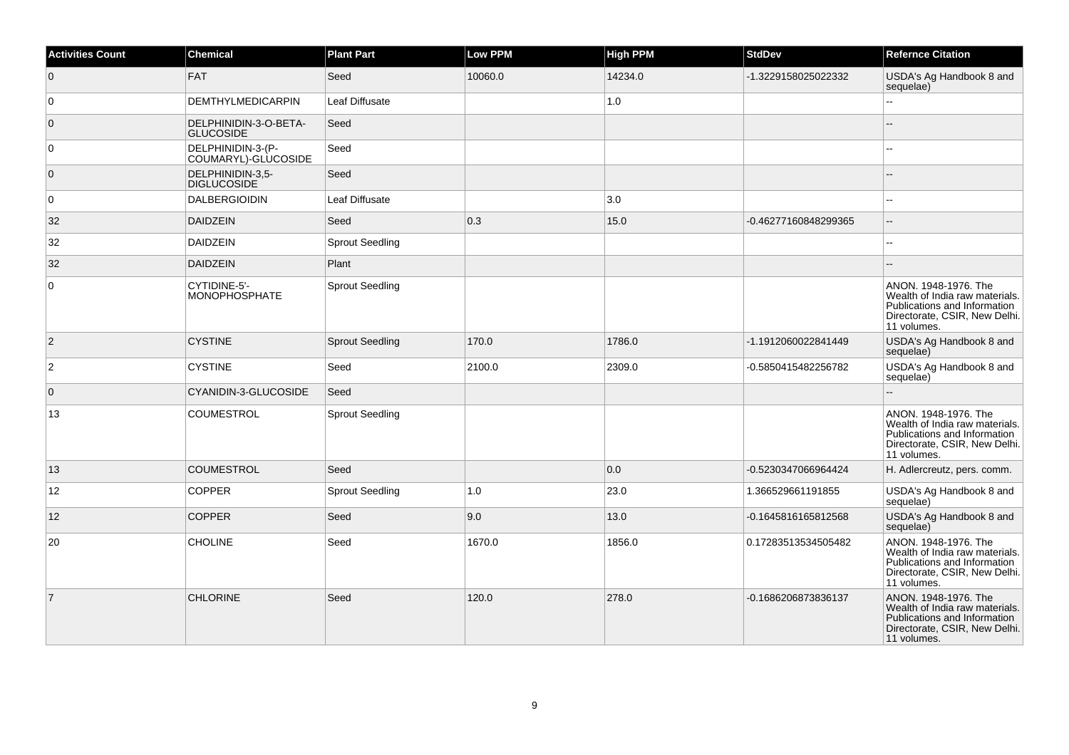| <b>Activities Count</b> | <b>Chemical</b>                           | <b>Plant Part</b>      | Low PPM | <b>High PPM</b> | <b>StdDev</b>        | <b>Refernce Citation</b>                                                                                                               |
|-------------------------|-------------------------------------------|------------------------|---------|-----------------|----------------------|----------------------------------------------------------------------------------------------------------------------------------------|
| $\overline{0}$          | <b>FAT</b>                                | Seed                   | 10060.0 | 14234.0         | -1.3229158025022332  | USDA's Ag Handbook 8 and<br>sequelae)                                                                                                  |
| 0                       | <b>DEMTHYLMEDICARPIN</b>                  | Leaf Diffusate         |         | 1.0             |                      | L.                                                                                                                                     |
| $\overline{0}$          | DELPHINIDIN-3-O-BETA-<br><b>GLUCOSIDE</b> | Seed                   |         |                 |                      |                                                                                                                                        |
| 0                       | DELPHINIDIN-3-(P-<br>COUMARYL)-GLUCOSIDE  | Seed                   |         |                 |                      |                                                                                                                                        |
| $\overline{0}$          | DELPHINIDIN-3,5-<br><b>DIGLUCOSIDE</b>    | Seed                   |         |                 |                      |                                                                                                                                        |
| 0                       | <b>DALBERGIOIDIN</b>                      | Leaf Diffusate         |         | 3.0             |                      |                                                                                                                                        |
| 32                      | <b>DAIDZEIN</b>                           | Seed                   | 0.3     | 15.0            | -0.46277160848299365 | $\overline{a}$                                                                                                                         |
| 32                      | <b>DAIDZEIN</b>                           | <b>Sprout Seedling</b> |         |                 |                      |                                                                                                                                        |
| 32                      | DAIDZEIN                                  | Plant                  |         |                 |                      |                                                                                                                                        |
| 0                       | CYTIDINE-5'-<br><b>MONOPHOSPHATE</b>      | <b>Sprout Seedling</b> |         |                 |                      | ANON. 1948-1976. The<br>Wealth of India raw materials.<br>Publications and Information<br>Directorate, CSIR, New Delhi.<br>11 volumes. |
| $\vert$ 2               | <b>CYSTINE</b>                            | <b>Sprout Seedling</b> | 170.0   | 1786.0          | -1.1912060022841449  | USDA's Ag Handbook 8 and<br>sequelae)                                                                                                  |
| $\overline{2}$          | <b>CYSTINE</b>                            | Seed                   | 2100.0  | 2309.0          | -0.5850415482256782  | USDA's Ag Handbook 8 and<br>sequelae)                                                                                                  |
| $\overline{0}$          | CYANIDIN-3-GLUCOSIDE                      | Seed                   |         |                 |                      |                                                                                                                                        |
| 13                      | <b>COUMESTROL</b>                         | <b>Sprout Seedling</b> |         |                 |                      | ANON. 1948-1976. The<br>Wealth of India raw materials.<br>Publications and Information<br>Directorate, CSIR, New Delhi.<br>11 volumes. |
| 13                      | <b>COUMESTROL</b>                         | Seed                   |         | 0.0             | -0.5230347066964424  | H. Adlercreutz, pers. comm.                                                                                                            |
| 12                      | <b>COPPER</b>                             | <b>Sprout Seedling</b> | 1.0     | 23.0            | 1.366529661191855    | USDA's Ag Handbook 8 and<br>sequelae)                                                                                                  |
| 12                      | <b>COPPER</b>                             | Seed                   | 9.0     | 13.0            | -0.1645816165812568  | USDA's Ag Handbook 8 and<br>sequelae)                                                                                                  |
| 20                      | <b>CHOLINE</b>                            | Seed                   | 1670.0  | 1856.0          | 0.17283513534505482  | ANON. 1948-1976. The<br>Wealth of India raw materials.<br>Publications and Information<br>Directorate, CSIR, New Delhi.<br>11 volumes. |
| $\overline{7}$          | <b>CHLORINE</b>                           | Seed                   | 120.0   | 278.0           | -0.1686206873836137  | ANON. 1948-1976. The<br>Wealth of India raw materials.<br>Publications and Information<br>Directorate, CSIR, New Delhi.<br>11 volumes. |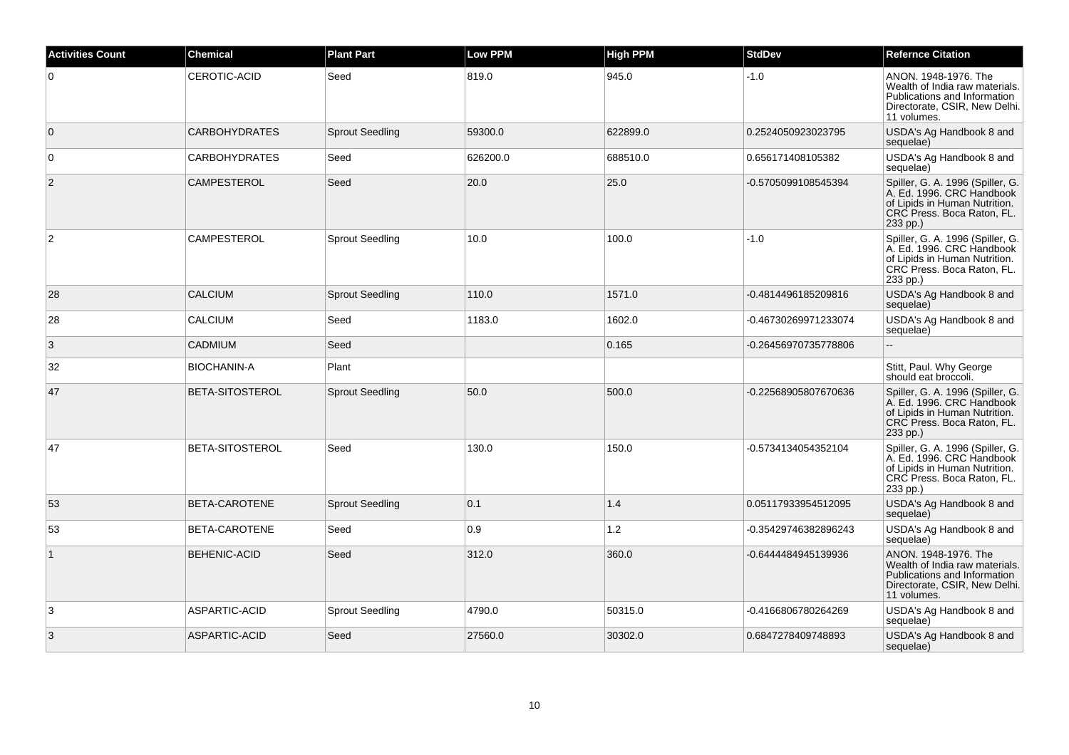| <b>Activities Count</b> | <b>Chemical</b>        | <b>Plant Part</b>      | <b>Low PPM</b> | <b>High PPM</b> | <b>StdDev</b>        | <b>Refernce Citation</b>                                                                                                                 |
|-------------------------|------------------------|------------------------|----------------|-----------------|----------------------|------------------------------------------------------------------------------------------------------------------------------------------|
| $\overline{0}$          | <b>CEROTIC-ACID</b>    | Seed                   | 819.0          | 945.0           | $-1.0$               | ANON. 1948-1976. The<br>Wealth of India raw materials.<br>Publications and Information<br>Directorate, CSIR, New Delhi.<br>11 volumes.   |
| $\overline{0}$          | <b>CARBOHYDRATES</b>   | <b>Sprout Seedling</b> | 59300.0        | 622899.0        | 0.2524050923023795   | USDA's Ag Handbook 8 and<br>sequelae)                                                                                                    |
| $\overline{0}$          | <b>CARBOHYDRATES</b>   | Seed                   | 626200.0       | 688510.0        | 0.656171408105382    | USDA's Ag Handbook 8 and<br>sequelae)                                                                                                    |
| $\overline{2}$          | CAMPESTEROL            | Seed                   | 20.0           | 25.0            | -0.5705099108545394  | Spiller, G. A. 1996 (Spiller, G.<br>A. Ed. 1996. CRC Handbook<br>of Lipids in Human Nutrition.<br>CRC Press. Boca Raton, FL.<br>233 pp.) |
| $\overline{2}$          | <b>CAMPESTEROL</b>     | <b>Sprout Seedling</b> | 10.0           | 100.0           | -1.0                 | Spiller, G. A. 1996 (Spiller, G.<br>A. Ed. 1996. CRC Handbook<br>of Lipids in Human Nutrition.<br>CRC Press. Boca Raton, FL.<br>233 pp.) |
| 28                      | <b>CALCIUM</b>         | <b>Sprout Seedling</b> | 110.0          | 1571.0          | -0.4814496185209816  | USDA's Ag Handbook 8 and<br>sequelae)                                                                                                    |
| 28                      | <b>CALCIUM</b>         | Seed                   | 1183.0         | 1602.0          | -0.46730269971233074 | USDA's Ag Handbook 8 and<br>sequelae)                                                                                                    |
| 3                       | <b>CADMIUM</b>         | Seed                   |                | 0.165           | -0.26456970735778806 | $\sim$                                                                                                                                   |
| 32                      | <b>BIOCHANIN-A</b>     | Plant                  |                |                 |                      | Stitt, Paul. Why George<br>should eat broccoli.                                                                                          |
| 47                      | <b>BETA-SITOSTEROL</b> | <b>Sprout Seedling</b> | 50.0           | 500.0           | -0.22568905807670636 | Spiller, G. A. 1996 (Spiller, G.<br>A. Ed. 1996. CRC Handbook<br>of Lipids in Human Nutrition.<br>CRC Press. Boca Raton, FL.<br>233 pp.) |
| 47                      | BETA-SITOSTEROL        | Seed                   | 130.0          | 150.0           | -0.5734134054352104  | Spiller, G. A. 1996 (Spiller, G.<br>A. Ed. 1996. CRC Handbook<br>of Lipids in Human Nutrition.<br>CRC Press. Boca Raton, FL.<br>233 pp.) |
| 53                      | BETA-CAROTENE          | <b>Sprout Seedling</b> | 0.1            | 1.4             | 0.05117933954512095  | USDA's Ag Handbook 8 and<br>sequelae)                                                                                                    |
| 53                      | BETA-CAROTENE          | Seed                   | 0.9            | 1.2             | -0.35429746382896243 | USDA's Ag Handbook 8 and<br>sequelae)                                                                                                    |
|                         | <b>BEHENIC-ACID</b>    | Seed                   | 312.0          | 360.0           | -0.6444484945139936  | ANON. 1948-1976. The<br>Wealth of India raw materials.<br>Publications and Information<br>Directorate, CSIR, New Delhi.<br>11 volumes.   |
| 3                       | ASPARTIC-ACID          | <b>Sprout Seedling</b> | 4790.0         | 50315.0         | -0.4166806780264269  | USDA's Ag Handbook 8 and<br>sequelae)                                                                                                    |
| 3                       | ASPARTIC-ACID          | Seed                   | 27560.0        | 30302.0         | 0.6847278409748893   | USDA's Ag Handbook 8 and<br>sequelae)                                                                                                    |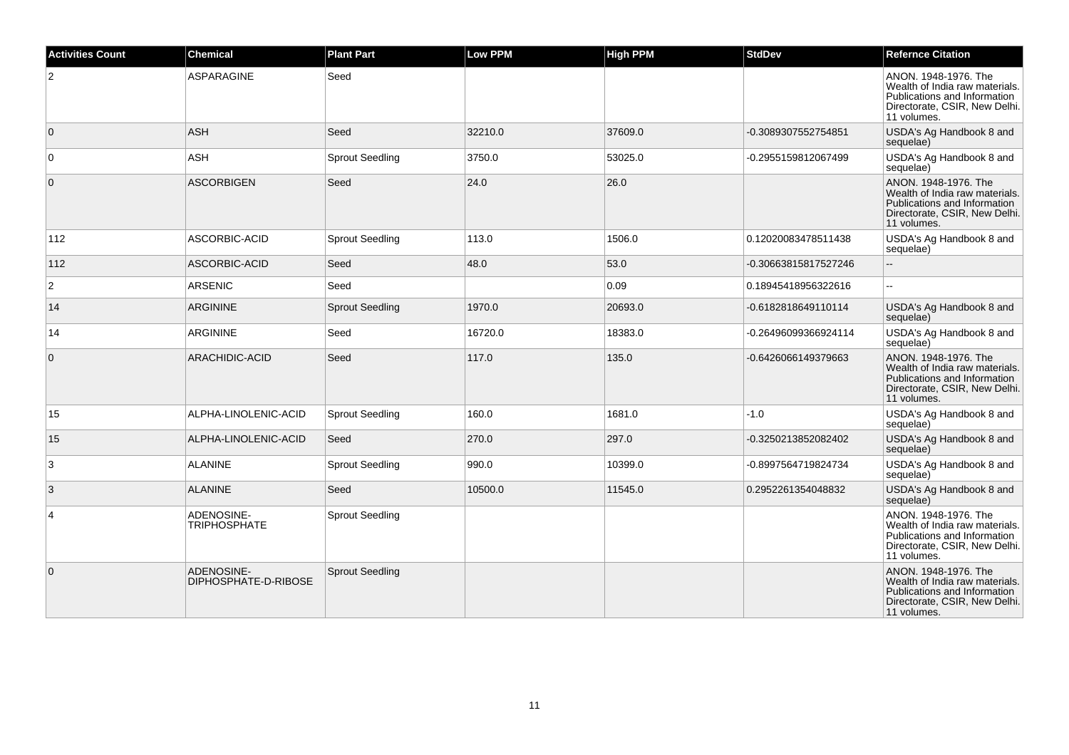| <b>Activities Count</b> | <b>Chemical</b>                    | <b>Plant Part</b>      | <b>Low PPM</b> | <b>High PPM</b> | <b>StdDev</b>        | <b>Refernce Citation</b>                                                                                                               |
|-------------------------|------------------------------------|------------------------|----------------|-----------------|----------------------|----------------------------------------------------------------------------------------------------------------------------------------|
| $\overline{2}$          | <b>ASPARAGINE</b>                  | Seed                   |                |                 |                      | ANON, 1948-1976. The<br>Wealth of India raw materials.<br>Publications and Information<br>Directorate, CSIR, New Delhi.<br>11 volumes. |
| $\overline{0}$          | <b>ASH</b>                         | Seed                   | 32210.0        | 37609.0         | -0.3089307552754851  | USDA's Ag Handbook 8 and<br>sequelae)                                                                                                  |
| $\mathbf 0$             | <b>ASH</b>                         | <b>Sprout Seedling</b> | 3750.0         | 53025.0         | -0.2955159812067499  | USDA's Ag Handbook 8 and<br>sequelae)                                                                                                  |
| $\mathbf 0$             | <b>ASCORBIGEN</b>                  | Seed                   | 24.0           | 26.0            |                      | ANON. 1948-1976. The<br>Wealth of India raw materials.<br>Publications and Information<br>Directorate, CSIR, New Delhi.<br>11 volumes. |
| 112                     | ASCORBIC-ACID                      | Sprout Seedling        | 113.0          | 1506.0          | 0.12020083478511438  | USDA's Ag Handbook 8 and<br>sequelae)                                                                                                  |
| 112                     | ASCORBIC-ACID                      | Seed                   | 48.0           | 53.0            | -0.30663815817527246 | $\overline{\phantom{a}}$                                                                                                               |
| $\overline{2}$          | <b>ARSENIC</b>                     | Seed                   |                | 0.09            | 0.18945418956322616  | $\mathbf{u}$                                                                                                                           |
| 14                      | <b>ARGININE</b>                    | <b>Sprout Seedling</b> | 1970.0         | 20693.0         | -0.6182818649110114  | USDA's Ag Handbook 8 and<br>sequelae)                                                                                                  |
| 14                      | <b>ARGININE</b>                    | Seed                   | 16720.0        | 18383.0         | 0.26496099366924114  | USDA's Ag Handbook 8 and<br>sequelae)                                                                                                  |
| $\mathbf 0$             | ARACHIDIC-ACID                     | Seed                   | 117.0          | 135.0           | -0.6426066149379663  | ANON. 1948-1976. The<br>Wealth of India raw materials.<br>Publications and Information<br>Directorate, CSIR, New Delhi.<br>11 volumes. |
| 15                      | ALPHA-LINOLENIC-ACID               | <b>Sprout Seedling</b> | 160.0          | 1681.0          | $-1.0$               | USDA's Ag Handbook 8 and<br>sequelae)                                                                                                  |
| 15                      | ALPHA-LINOLENIC-ACID               | Seed                   | 270.0          | 297.0           | -0.3250213852082402  | USDA's Ag Handbook 8 and<br>sequelae)                                                                                                  |
| 3                       | <b>ALANINE</b>                     | <b>Sprout Seedling</b> | 990.0          | 10399.0         | -0.8997564719824734  | USDA's Ag Handbook 8 and<br>sequelae)                                                                                                  |
| 3                       | <b>ALANINE</b>                     | Seed                   | 10500.0        | 11545.0         | 0.2952261354048832   | USDA's Ag Handbook 8 and<br>sequelae)                                                                                                  |
| $\overline{4}$          | ADENOSINE-<br><b>TRIPHOSPHATE</b>  | <b>Sprout Seedling</b> |                |                 |                      | ANON, 1948-1976. The<br>Wealth of India raw materials.<br>Publications and Information<br>Directorate, CSIR, New Delhi.<br>11 volumes. |
| $\mathbf 0$             | ADENOSINE-<br>DIPHOSPHATE-D-RIBOSE | <b>Sprout Seedling</b> |                |                 |                      | ANON. 1948-1976. The<br>Wealth of India raw materials.<br>Publications and Information<br>Directorate, CSIR, New Delhi.<br>11 volumes. |